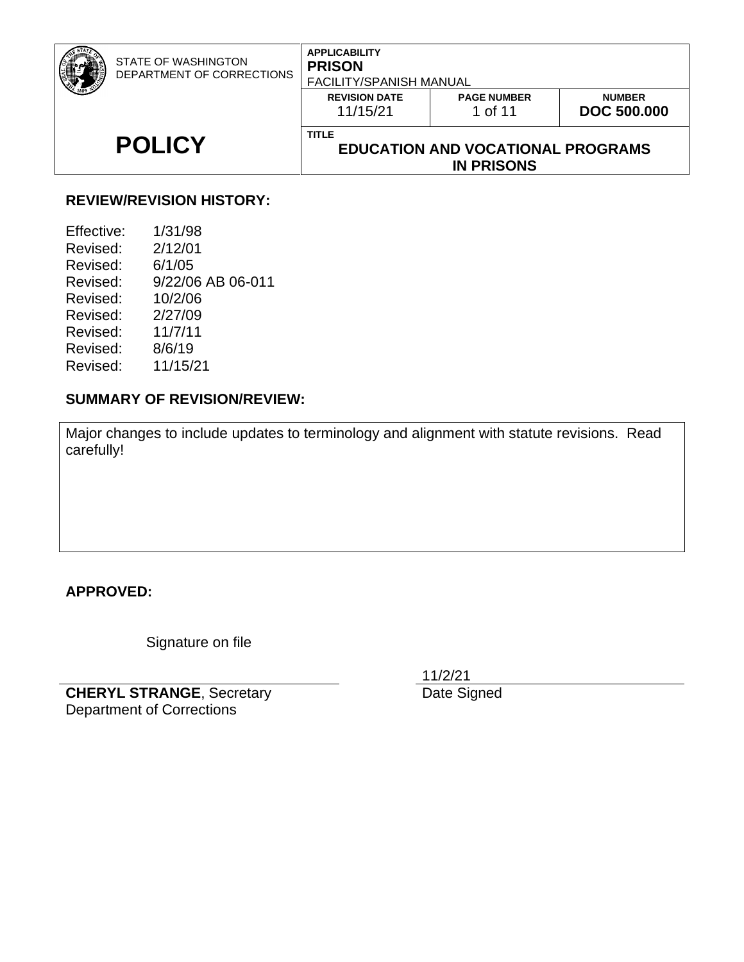| <b>POLICY</b> | <b>REVISION DATE</b><br>11/15/21<br><b>TITLE</b> | <b>PAGE NUMBER</b><br>1 of 11<br><b>EDUCATION AND VOCATIONAL PROGRAMS</b> | <b>NUMBER</b><br><b>DOC 500.000</b> |
|---------------|--------------------------------------------------|---------------------------------------------------------------------------|-------------------------------------|
|               | <b>IN PRISONS</b>                                |                                                                           |                                     |

#### **REVIEW/REVISION HISTORY:**

| Effective: | 1/31/98           |
|------------|-------------------|
| Revised:   | 2/12/01           |
| Revised:   | 6/1/05            |
| Revised:   | 9/22/06 AB 06-011 |
| Revised:   | 10/2/06           |
| Revised:   | 2/27/09           |
| Revised:   | 11/7/11           |
| Revised:   | 8/6/19            |
| Revised:   | 11/15/21          |
|            |                   |

#### **SUMMARY OF REVISION/REVIEW:**

Major changes to include updates to terminology and alignment with statute revisions. Read carefully!

**APPROVED:**

Signature on file

**CHERYL STRANGE**, Secretary Department of Corrections

11/2/21

Date Signed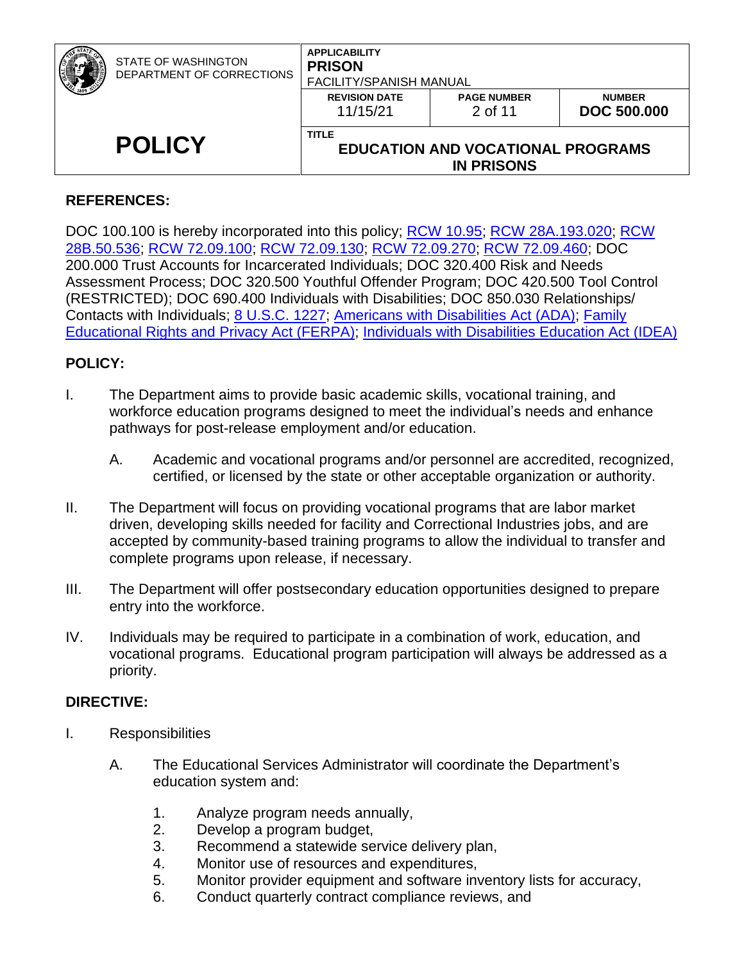| STATE OF WASHINGTON<br>DEPARTMENT OF CORRECTIONS | <b>APPLICABILITY</b><br><b>PRISON</b><br><b>FACILITY/SPANISH MANUAL</b>       |                               |                                     |
|--------------------------------------------------|-------------------------------------------------------------------------------|-------------------------------|-------------------------------------|
|                                                  | <b>REVISION DATE</b><br>11/15/21                                              | <b>PAGE NUMBER</b><br>2 of 11 | <b>NUMBER</b><br><b>DOC 500.000</b> |
| <b>POLICY</b>                                    | <b>TITLE</b><br><b>EDUCATION AND VOCATIONAL PROGRAMS</b><br><b>IN PRISONS</b> |                               |                                     |

### **REFERENCES:**

DOC 100.100 is hereby incorporated into this policy; [RCW 10.95;](http://apps.leg.wa.gov/RCW/default.aspx?cite=10.95) [RCW 28A.193.020;](http://apps.leg.wa.gov/RCW/default.aspx?cite=28A.193.020) RCW [28B.50.536;](https://apps.leg.wa.gov/rcw/default.aspx?cite=28B.50.536) [RCW 72.09.100;](http://apps.leg.wa.gov/RCW/default.aspx?cite=72.09.100) [RCW 72.09.130;](https://app.leg.wa.gov/RCW/default.aspx?cite=72.09.130) [RCW 72.09.270;](https://apps.leg.wa.gov/rcw/default.aspx?cite=72.09.270) RCW [72.09.460;](http://apps.leg.wa.gov/RCW/default.aspx?cite=72.09.460) DOC 200.000 Trust Accounts for Incarcerated Individuals; DOC 320.400 Risk and Needs Assessment Process; DOC 320.500 Youthful Offender Program; DOC 420.500 Tool Control (RESTRICTED); DOC 690.400 Individuals with Disabilities; DOC 850.030 Relationships/ Contacts with Individuals; [8 U.S.C. 1227;](https://www.govinfo.gov/app/details/USCODE-2011-title8/USCODE-2011-title8-chap12-subchapII-partIV-sec1227) [Americans with Disabilities Act \(ADA\);](http://www.ada.gov/pubs/ada.htm) [Family](http://www.gpo.gov/fdsys/pkg/CFR-2010-title34-vol1/xml/CFR-2010-title34-vol1-part99.xml)  [Educational Rights and Privacy Act \(FERPA\);](http://www.gpo.gov/fdsys/pkg/CFR-2010-title34-vol1/xml/CFR-2010-title34-vol1-part99.xml) [Individuals with Disabilities Education Act \(IDEA\)](https://sites.ed.gov/idea/)

### **POLICY:**

- I. The Department aims to provide basic academic skills, vocational training, and workforce education programs designed to meet the individual's needs and enhance pathways for post-release employment and/or education.
	- A. Academic and vocational programs and/or personnel are accredited, recognized, certified, or licensed by the state or other acceptable organization or authority.
- II. The Department will focus on providing vocational programs that are labor market driven, developing skills needed for facility and Correctional Industries jobs, and are accepted by community-based training programs to allow the individual to transfer and complete programs upon release, if necessary.
- III. The Department will offer postsecondary education opportunities designed to prepare entry into the workforce.
- IV. Individuals may be required to participate in a combination of work, education, and vocational programs. Educational program participation will always be addressed as a priority.

### **DIRECTIVE:**

- I. Responsibilities
	- A. The Educational Services Administrator will coordinate the Department's education system and:
		- 1. Analyze program needs annually,
		- 2. Develop a program budget,
		- 3. Recommend a statewide service delivery plan,
		- 4. Monitor use of resources and expenditures,
		- 5. Monitor provider equipment and software inventory lists for accuracy,
		- 6. Conduct quarterly contract compliance reviews, and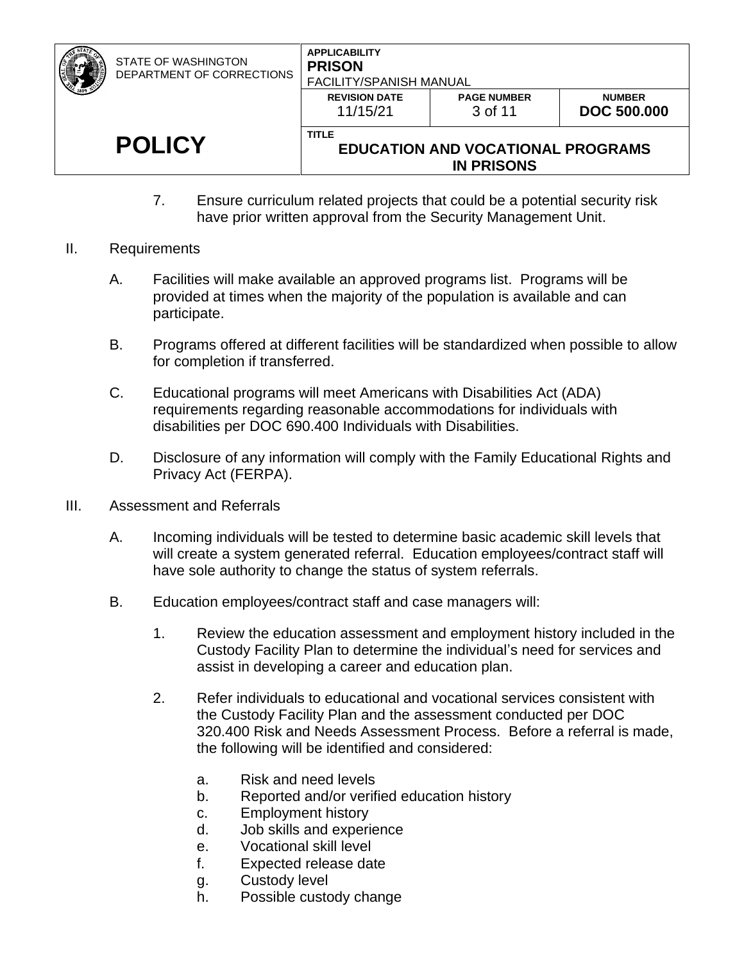| <b>POLICY</b>                                    | <b>TITLE</b>                                                     | <b>EDUCATION AND VOCATIONAL PROGRAMS</b><br><b>IN PRISONS</b> |                                     |
|--------------------------------------------------|------------------------------------------------------------------|---------------------------------------------------------------|-------------------------------------|
|                                                  | <b>REVISION DATE</b><br>11/15/21                                 | <b>PAGE NUMBER</b><br>3 of 11                                 | <b>NUMBER</b><br><b>DOC 500.000</b> |
| STATE OF WASHINGTON<br>DEPARTMENT OF CORRECTIONS | <b>APPLICABILITY</b><br><b>PRISON</b><br>FACILITY/SPANISH MANUAL |                                                               |                                     |

- 7. Ensure curriculum related projects that could be a potential security risk have prior written approval from the Security Management Unit.
- II. Requirements
	- A. Facilities will make available an approved programs list. Programs will be provided at times when the majority of the population is available and can participate.
	- B. Programs offered at different facilities will be standardized when possible to allow for completion if transferred.
	- C. Educational programs will meet Americans with Disabilities Act (ADA) requirements regarding reasonable accommodations for individuals with disabilities per DOC 690.400 Individuals with Disabilities.
	- D. Disclosure of any information will comply with the Family Educational Rights and Privacy Act (FERPA).
- III. Assessment and Referrals
	- A. Incoming individuals will be tested to determine basic academic skill levels that will create a system generated referral. Education employees/contract staff will have sole authority to change the status of system referrals.
	- B. Education employees/contract staff and case managers will:
		- 1. Review the education assessment and employment history included in the Custody Facility Plan to determine the individual's need for services and assist in developing a career and education plan.
		- 2. Refer individuals to educational and vocational services consistent with the Custody Facility Plan and the assessment conducted per DOC 320.400 Risk and Needs Assessment Process. Before a referral is made, the following will be identified and considered:
			- a. Risk and need levels
			- b. Reported and/or verified education history
			- c. Employment history
			- d. Job skills and experience
			- e. Vocational skill level
			- f. Expected release date
			- g. Custody level
			- h. Possible custody change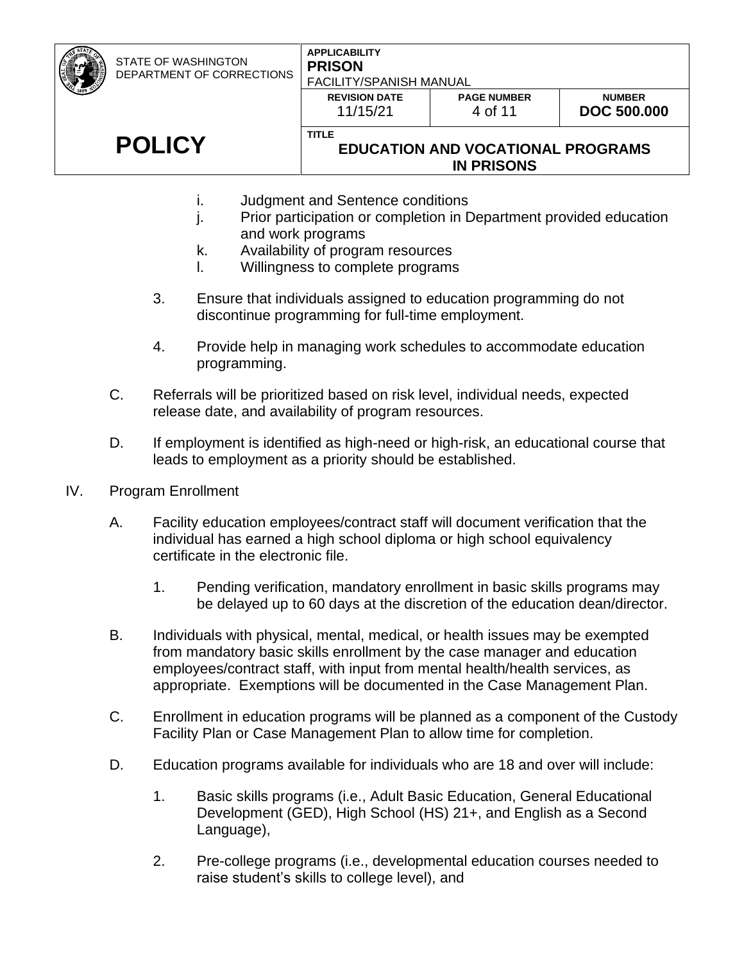#### **APPLICABILITY PRISON** FACILITY/SPANISH MANUAL

**REVISION DATE** 11/15/21

**PAGE NUMBER** 4 of 11

**NUMBER DOC 500.000**

# **POLICY**

### **EDUCATION AND VOCATIONAL PROGRAMS IN PRISONS**

- i. Judgment and Sentence conditions
- j. Prior participation or completion in Department provided education and work programs
- k. Availability of program resources

**TITLE**

- l. Willingness to complete programs
- 3. Ensure that individuals assigned to education programming do not discontinue programming for full-time employment.
- 4. Provide help in managing work schedules to accommodate education programming.
- C. Referrals will be prioritized based on risk level, individual needs, expected release date, and availability of program resources.
- D. If employment is identified as high-need or high-risk, an educational course that leads to employment as a priority should be established.
- IV. Program Enrollment
	- A. Facility education employees/contract staff will document verification that the individual has earned a high school diploma or high school equivalency certificate in the electronic file.
		- 1. Pending verification, mandatory enrollment in basic skills programs may be delayed up to 60 days at the discretion of the education dean/director.
	- B. Individuals with physical, mental, medical, or health issues may be exempted from mandatory basic skills enrollment by the case manager and education employees/contract staff, with input from mental health/health services, as appropriate. Exemptions will be documented in the Case Management Plan.
	- C. Enrollment in education programs will be planned as a component of the Custody Facility Plan or Case Management Plan to allow time for completion.
	- D. Education programs available for individuals who are 18 and over will include:
		- 1. Basic skills programs (i.e., Adult Basic Education, General Educational Development (GED), High School (HS) 21+, and English as a Second Language),
		- 2. Pre-college programs (i.e., developmental education courses needed to raise student's skills to college level), and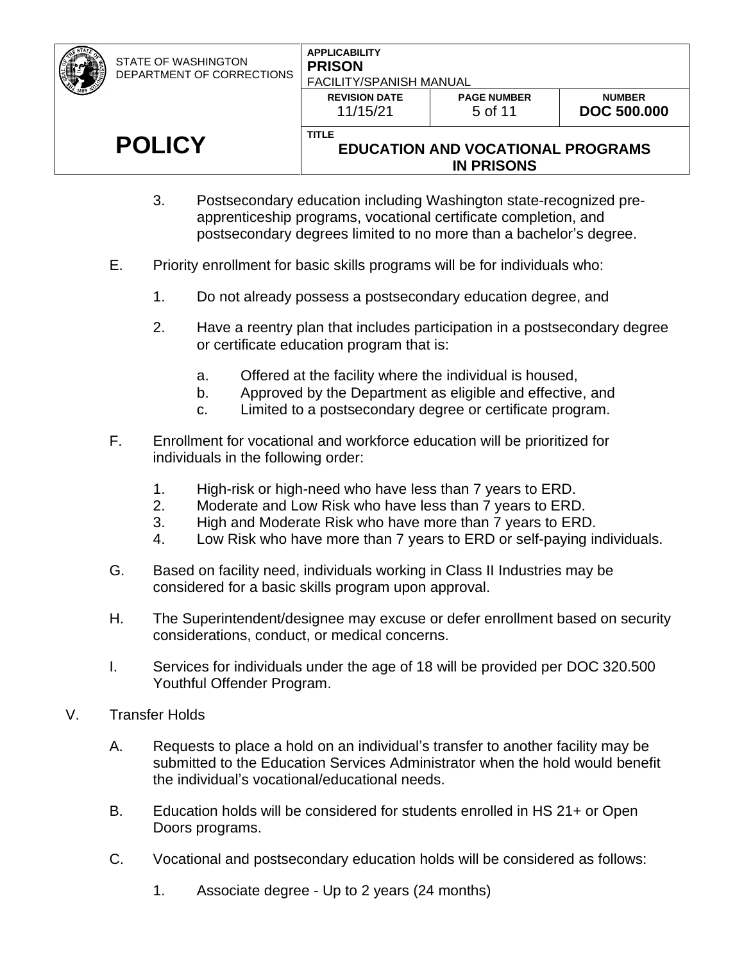#### **APPLICABILITY PRISON** FACILITY/SPANISH MANUAL

**REVISION DATE** 11/15/21

**TITLE**

**PAGE NUMBER** 5 of 11

## **POLICY**

### **EDUCATION AND VOCATIONAL PROGRAMS IN PRISONS**

- 3. Postsecondary education including Washington state-recognized preapprenticeship programs, vocational certificate completion, and postsecondary degrees limited to no more than a bachelor's degree.
- E. Priority enrollment for basic skills programs will be for individuals who:
	- 1. Do not already possess a postsecondary education degree, and
	- 2. Have a reentry plan that includes participation in a postsecondary degree or certificate education program that is:
		- a. Offered at the facility where the individual is housed,
		- b. Approved by the Department as eligible and effective, and
		- c. Limited to a postsecondary degree or certificate program.
- F. Enrollment for vocational and workforce education will be prioritized for individuals in the following order:
	- 1. High-risk or high-need who have less than 7 years to ERD.
	- 2. Moderate and Low Risk who have less than 7 years to ERD.
	- 3. High and Moderate Risk who have more than 7 years to ERD.
	- 4. Low Risk who have more than 7 years to ERD or self-paying individuals.
- G. Based on facility need, individuals working in Class II Industries may be considered for a basic skills program upon approval.
- H. The Superintendent/designee may excuse or defer enrollment based on security considerations, conduct, or medical concerns.
- I. Services for individuals under the age of 18 will be provided per DOC 320.500 Youthful Offender Program.
- V. Transfer Holds
	- A. Requests to place a hold on an individual's transfer to another facility may be submitted to the Education Services Administrator when the hold would benefit the individual's vocational/educational needs.
	- B. Education holds will be considered for students enrolled in HS 21+ or Open Doors programs.
	- C. Vocational and postsecondary education holds will be considered as follows:
		- 1. Associate degree Up to 2 years (24 months)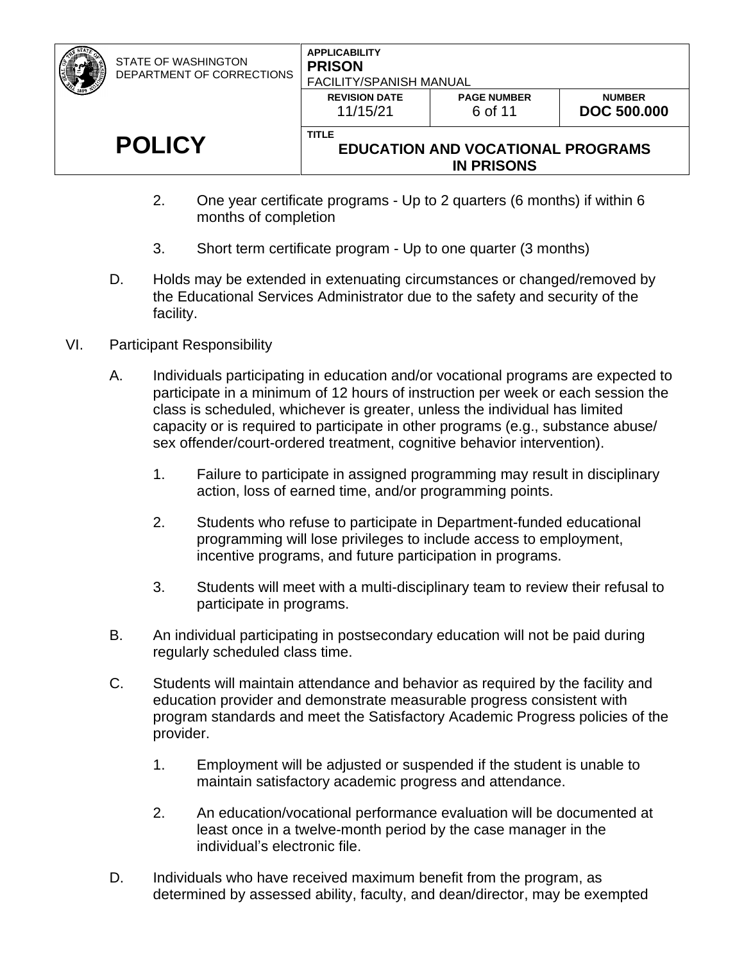#### **APPLICABILITY PRISON** FACILITY/SPANISH MANUAL

| FAUILITTI JPANIJA MANUAL         |                               |                                     |  |  |  |  |
|----------------------------------|-------------------------------|-------------------------------------|--|--|--|--|
| <b>REVISION DATE</b><br>11/15/21 | <b>PAGE NUMBER</b><br>6 of 11 | <b>NUMBER</b><br><b>DOC 500,000</b> |  |  |  |  |
| <b>TITLE</b>                     |                               |                                     |  |  |  |  |

## **POLICY**

### **EDUCATION AND VOCATIONAL PROGRAMS IN PRISONS**

- 2. One year certificate programs Up to 2 quarters (6 months) if within 6 months of completion
- 3. Short term certificate program Up to one quarter (3 months)
- D. Holds may be extended in extenuating circumstances or changed/removed by the Educational Services Administrator due to the safety and security of the facility.
- VI. Participant Responsibility
	- A. Individuals participating in education and/or vocational programs are expected to participate in a minimum of 12 hours of instruction per week or each session the class is scheduled, whichever is greater, unless the individual has limited capacity or is required to participate in other programs (e.g., substance abuse/ sex offender/court-ordered treatment, cognitive behavior intervention).
		- 1. Failure to participate in assigned programming may result in disciplinary action, loss of earned time, and/or programming points.
		- 2. Students who refuse to participate in Department-funded educational programming will lose privileges to include access to employment, incentive programs, and future participation in programs.
		- 3. Students will meet with a multi-disciplinary team to review their refusal to participate in programs.
	- B. An individual participating in postsecondary education will not be paid during regularly scheduled class time.
	- C. Students will maintain attendance and behavior as required by the facility and education provider and demonstrate measurable progress consistent with program standards and meet the Satisfactory Academic Progress policies of the provider.
		- 1. Employment will be adjusted or suspended if the student is unable to maintain satisfactory academic progress and attendance.
		- 2. An education/vocational performance evaluation will be documented at least once in a twelve-month period by the case manager in the individual's electronic file.
	- D. Individuals who have received maximum benefit from the program, as determined by assessed ability, faculty, and dean/director, may be exempted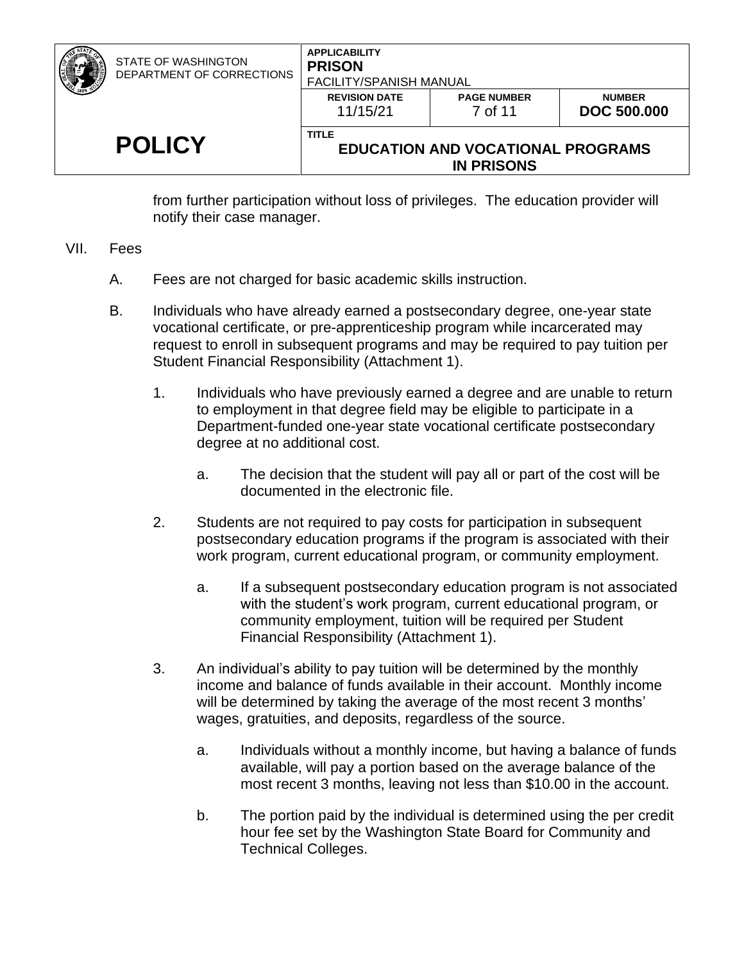| <b>STATE OF WASHINGTON</b><br>DEPARTMENT OF CORRECTIONS | <b>APPLICABILITY</b><br><b>PRISON</b><br><b>FACILITY/SPANISH MANUAL</b> |                                                               |                                     |
|---------------------------------------------------------|-------------------------------------------------------------------------|---------------------------------------------------------------|-------------------------------------|
|                                                         | <b>REVISION DATE</b><br>11/15/21                                        | <b>PAGE NUMBER</b><br>7 of 11                                 | <b>NUMBER</b><br><b>DOC 500,000</b> |
| <b>POLICY</b>                                           | <b>TITLE</b>                                                            | <b>EDUCATION AND VOCATIONAL PROGRAMS</b><br><b>IN PRISONS</b> |                                     |

from further participation without loss of privileges. The education provider will notify their case manager.

#### VII. Fees

- A. Fees are not charged for basic academic skills instruction.
- B. Individuals who have already earned a postsecondary degree, one-year state vocational certificate, or pre-apprenticeship program while incarcerated may request to enroll in subsequent programs and may be required to pay tuition per Student Financial Responsibility (Attachment 1).
	- 1. Individuals who have previously earned a degree and are unable to return to employment in that degree field may be eligible to participate in a Department-funded one-year state vocational certificate postsecondary degree at no additional cost.
		- a. The decision that the student will pay all or part of the cost will be documented in the electronic file.
	- 2. Students are not required to pay costs for participation in subsequent postsecondary education programs if the program is associated with their work program, current educational program, or community employment.
		- a. If a subsequent postsecondary education program is not associated with the student's work program, current educational program, or community employment, tuition will be required per Student Financial Responsibility (Attachment 1).
	- 3. An individual's ability to pay tuition will be determined by the monthly income and balance of funds available in their account. Monthly income will be determined by taking the average of the most recent 3 months' wages, gratuities, and deposits, regardless of the source.
		- a. Individuals without a monthly income, but having a balance of funds available, will pay a portion based on the average balance of the most recent 3 months, leaving not less than \$10.00 in the account.
		- b. The portion paid by the individual is determined using the per credit hour fee set by the Washington State Board for Community and Technical Colleges.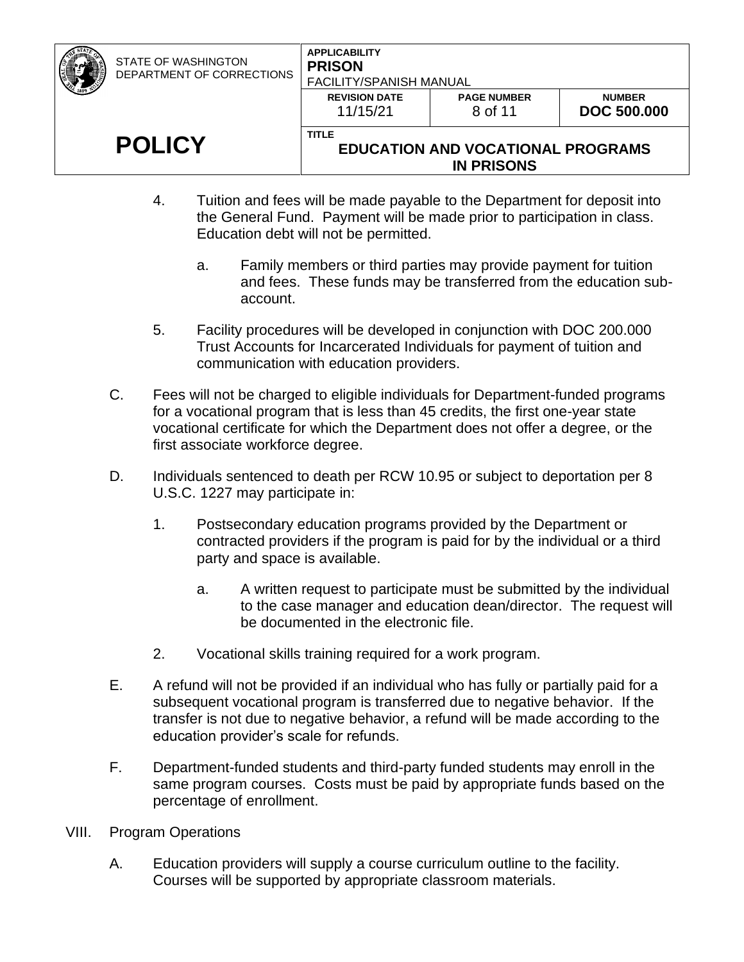| <b>POLICY</b>                                           | <b>TITLE</b><br><b>EDUCATION AND VOCATIONAL PROGRAMS</b><br><b>IN PRISONS</b> |                               |                                     |
|---------------------------------------------------------|-------------------------------------------------------------------------------|-------------------------------|-------------------------------------|
|                                                         | <b>REVISION DATE</b><br>11/15/21                                              | <b>PAGE NUMBER</b><br>8 of 11 | <b>NUMBER</b><br><b>DOC 500.000</b> |
| <b>STATE OF WASHINGTON</b><br>DEPARTMENT OF CORRECTIONS | <b>APPLICABILITY</b><br><b>PRISON</b><br><b>FACILITY/SPANISH MANUAL</b>       |                               |                                     |

- 4. Tuition and fees will be made payable to the Department for deposit into the General Fund. Payment will be made prior to participation in class. Education debt will not be permitted.
	- a. Family members or third parties may provide payment for tuition and fees. These funds may be transferred from the education subaccount.
- 5. Facility procedures will be developed in conjunction with DOC 200.000 Trust Accounts for Incarcerated Individuals for payment of tuition and communication with education providers.
- C. Fees will not be charged to eligible individuals for Department-funded programs for a vocational program that is less than 45 credits, the first one-year state vocational certificate for which the Department does not offer a degree, or the first associate workforce degree.
- D. Individuals sentenced to death per RCW 10.95 or subject to deportation per 8 U.S.C. 1227 may participate in:
	- 1. Postsecondary education programs provided by the Department or contracted providers if the program is paid for by the individual or a third party and space is available.
		- a. A written request to participate must be submitted by the individual to the case manager and education dean/director. The request will be documented in the electronic file.
	- 2. Vocational skills training required for a work program.
- E. A refund will not be provided if an individual who has fully or partially paid for a subsequent vocational program is transferred due to negative behavior. If the transfer is not due to negative behavior, a refund will be made according to the education provider's scale for refunds.
- F. Department-funded students and third-party funded students may enroll in the same program courses. Costs must be paid by appropriate funds based on the percentage of enrollment.
- VIII. Program Operations
	- A. Education providers will supply a course curriculum outline to the facility. Courses will be supported by appropriate classroom materials.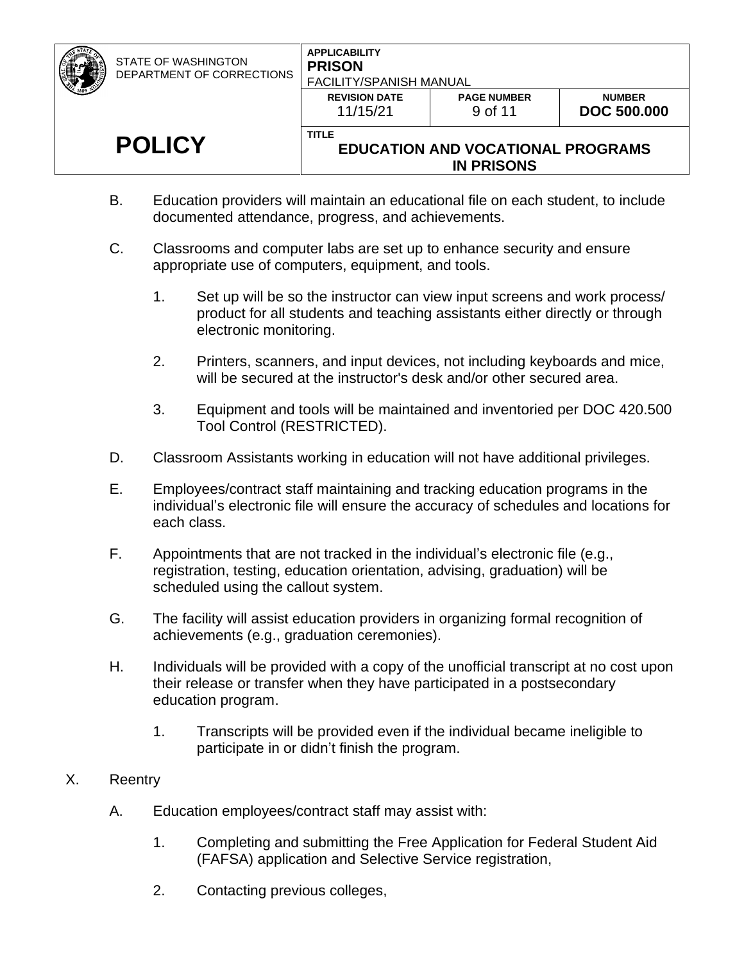**REVISION DATE** 11/15/21

# **POLICY**

#### **TITLE EDUCATION AND VOCATIONAL PROGRAMS IN PRISONS**

- B. Education providers will maintain an educational file on each student, to include documented attendance, progress, and achievements.
- C. Classrooms and computer labs are set up to enhance security and ensure appropriate use of computers, equipment, and tools.
	- 1. Set up will be so the instructor can view input screens and work process/ product for all students and teaching assistants either directly or through electronic monitoring.
	- 2. Printers, scanners, and input devices, not including keyboards and mice, will be secured at the instructor's desk and/or other secured area.
	- 3. Equipment and tools will be maintained and inventoried per DOC 420.500 Tool Control (RESTRICTED).
- D. Classroom Assistants working in education will not have additional privileges.
- E. Employees/contract staff maintaining and tracking education programs in the individual's electronic file will ensure the accuracy of schedules and locations for each class.
- F. Appointments that are not tracked in the individual's electronic file (e.g., registration, testing, education orientation, advising, graduation) will be scheduled using the callout system.
- G. The facility will assist education providers in organizing formal recognition of achievements (e.g., graduation ceremonies).
- H. Individuals will be provided with a copy of the unofficial transcript at no cost upon their release or transfer when they have participated in a postsecondary education program.
	- 1. Transcripts will be provided even if the individual became ineligible to participate in or didn't finish the program.
- X. Reentry
	- A. Education employees/contract staff may assist with:
		- 1. Completing and submitting the Free Application for Federal Student Aid (FAFSA) application and Selective Service registration,
		- 2. Contacting previous colleges,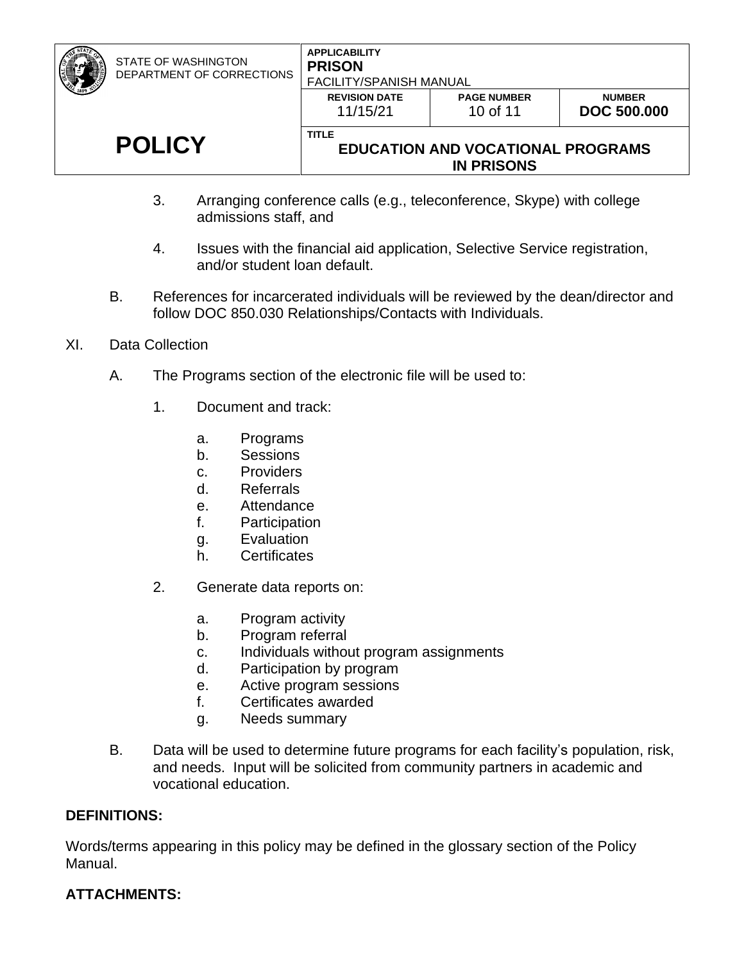#### **APPLICABILITY PRISON** FACILITY/SPANISH MANUAL

| <b>LICY</b> | <b>TITLE</b>                     | <b>EDUCATION AND VOCATIONAL PROGRAMS</b><br><b>IN PRISONS</b> |                                     |
|-------------|----------------------------------|---------------------------------------------------------------|-------------------------------------|
|             | <b>REVISION DATE</b><br>11/15/21 | <b>PAGE NUMBER</b><br>10 of 11                                | <b>NUMBER</b><br><b>DOC 500,000</b> |
|             | - FAUILI I YOFANIƏH MANUAL       |                                                               |                                     |

- 3. Arranging conference calls (e.g., teleconference, Skype) with college admissions staff, and
- 4. Issues with the financial aid application, Selective Service registration, and/or student loan default.
- B. References for incarcerated individuals will be reviewed by the dean/director and follow DOC 850.030 Relationships/Contacts with Individuals.
- XI. Data Collection

**POLICY**

- A. The Programs section of the electronic file will be used to:
	- 1. Document and track:
		- a. Programs
		- b. Sessions
		- c. Providers
		- d. Referrals
		- e. Attendance
		- f. Participation
		- g. Evaluation
		- h. Certificates
	- 2. Generate data reports on:
		- a. Program activity
		- b. Program referral
		- c. Individuals without program assignments
		- d. Participation by program
		- e. Active program sessions
		- f. Certificates awarded
		- g. Needs summary
- B. Data will be used to determine future programs for each facility's population, risk, and needs. Input will be solicited from community partners in academic and vocational education.

### **DEFINITIONS:**

Words/terms appearing in this policy may be defined in the glossary section of the Policy Manual.

## **ATTACHMENTS:**